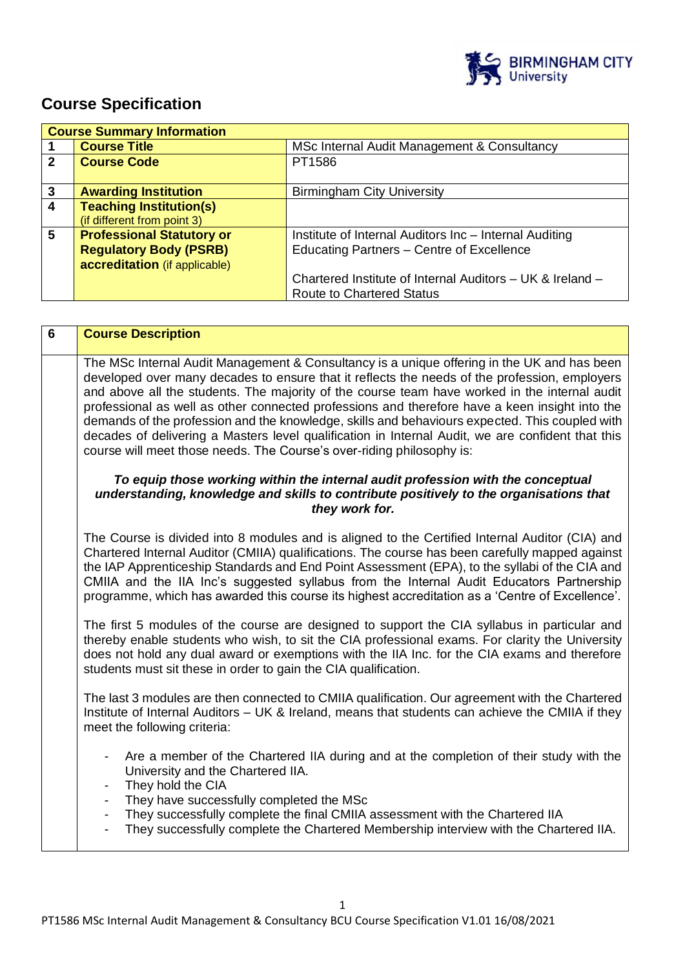

# **Course Specification**

|              | <b>Course Summary Information</b> |                                                           |
|--------------|-----------------------------------|-----------------------------------------------------------|
|              | <b>Course Title</b>               | MSc Internal Audit Management & Consultancy               |
| $\mathbf{2}$ | <b>Course Code</b>                | PT1586                                                    |
|              |                                   |                                                           |
| 3            | <b>Awarding Institution</b>       | <b>Birmingham City University</b>                         |
| 4            | <b>Teaching Institution(s)</b>    |                                                           |
|              | (if different from point 3)       |                                                           |
| 5            | <b>Professional Statutory or</b>  | Institute of Internal Auditors Inc - Internal Auditing    |
|              | <b>Regulatory Body (PSRB)</b>     | Educating Partners - Centre of Excellence                 |
|              | accreditation (if applicable)     |                                                           |
|              |                                   | Chartered Institute of Internal Auditors – UK & Ireland – |
|              |                                   | <b>Route to Chartered Status</b>                          |

| <b>Course Description</b>                                                                                                                                                                                                                                                                                                                                                                                                                                                                                                                                                                                                                                                       |
|---------------------------------------------------------------------------------------------------------------------------------------------------------------------------------------------------------------------------------------------------------------------------------------------------------------------------------------------------------------------------------------------------------------------------------------------------------------------------------------------------------------------------------------------------------------------------------------------------------------------------------------------------------------------------------|
| The MSc Internal Audit Management & Consultancy is a unique offering in the UK and has been<br>developed over many decades to ensure that it reflects the needs of the profession, employers<br>and above all the students. The majority of the course team have worked in the internal audit<br>professional as well as other connected professions and therefore have a keen insight into the<br>demands of the profession and the knowledge, skills and behaviours expected. This coupled with<br>decades of delivering a Masters level qualification in Internal Audit, we are confident that this<br>course will meet those needs. The Course's over-riding philosophy is: |
| To equip those working within the internal audit profession with the conceptual<br>understanding, knowledge and skills to contribute positively to the organisations that<br>they work for.                                                                                                                                                                                                                                                                                                                                                                                                                                                                                     |
| The Course is divided into 8 modules and is aligned to the Certified Internal Auditor (CIA) and<br>Chartered Internal Auditor (CMIIA) qualifications. The course has been carefully mapped against<br>the IAP Apprenticeship Standards and End Point Assessment (EPA), to the syllabi of the CIA and<br>CMIIA and the IIA Inc's suggested syllabus from the Internal Audit Educators Partnership<br>programme, which has awarded this course its highest accreditation as a 'Centre of Excellence'.                                                                                                                                                                             |
| The first 5 modules of the course are designed to support the CIA syllabus in particular and<br>thereby enable students who wish, to sit the CIA professional exams. For clarity the University<br>does not hold any dual award or exemptions with the IIA Inc. for the CIA exams and therefore<br>students must sit these in order to gain the CIA qualification.                                                                                                                                                                                                                                                                                                              |
| The last 3 modules are then connected to CMIIA qualification. Our agreement with the Chartered<br>Institute of Internal Auditors - UK & Ireland, means that students can achieve the CMIIA if they<br>meet the following criteria:                                                                                                                                                                                                                                                                                                                                                                                                                                              |
| Are a member of the Chartered IIA during and at the completion of their study with the<br>University and the Chartered IIA.<br>They hold the CIA<br>They have successfully completed the MSc<br>They successfully complete the final CMIIA assessment with the Chartered IIA<br>$\blacksquare$<br>They successfully complete the Chartered Membership interview with the Chartered IIA.                                                                                                                                                                                                                                                                                         |
|                                                                                                                                                                                                                                                                                                                                                                                                                                                                                                                                                                                                                                                                                 |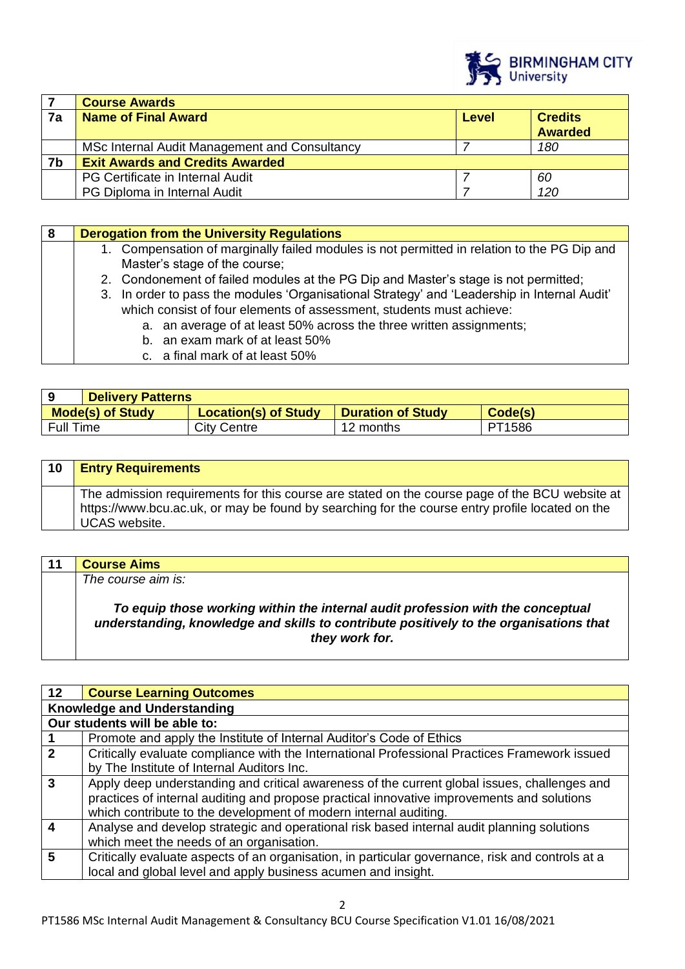

|    | <b>Course Awards</b>                          |       |                |
|----|-----------------------------------------------|-------|----------------|
| 7a | <b>Name of Final Award</b>                    | Level | <b>Credits</b> |
|    |                                               |       | <b>Awarded</b> |
|    | MSc Internal Audit Management and Consultancy |       | 180            |
| 7b | <b>Exit Awards and Credits Awarded</b>        |       |                |
|    | PG Certificate in Internal Audit              |       | 60             |
|    | PG Diploma in Internal Audit                  |       | 120            |

|  | <b>Derogation from the University Regulations</b>                                            |
|--|----------------------------------------------------------------------------------------------|
|  | 1. Compensation of marginally failed modules is not permitted in relation to the PG Dip and  |
|  | Master's stage of the course;                                                                |
|  | 2. Condonement of failed modules at the PG Dip and Master's stage is not permitted;          |
|  | 3. In order to pass the modules 'Organisational Strategy' and 'Leadership in Internal Audit' |
|  | which consist of four elements of assessment, students must achieve:                         |
|  | a. an average of at least 50% across the three written assignments;                          |
|  | b. an exam mark of at least 50%                                                              |
|  | c. a final mark of at least 50%                                                              |

|           | <b>Delivery Patterns</b> |                             |                          |         |
|-----------|--------------------------|-----------------------------|--------------------------|---------|
|           | <b>Mode(s) of Study</b>  | <b>Location(s) of Study</b> | <b>Duration of Study</b> | Code(s) |
| Full Time |                          | <b>City Centre</b>          | 12 months                | PT1586  |

| 10 | <b>Entry Requirements</b>                                                                                                                                                                                                 |
|----|---------------------------------------------------------------------------------------------------------------------------------------------------------------------------------------------------------------------------|
|    | The admission requirements for this course are stated on the course page of the BCU website at<br>https://www.bcu.ac.uk, or may be found by searching for the course entry profile located on the<br><b>UCAS</b> website. |

| 11 | <b>Course Aims</b>                                                                                                                                                                          |
|----|---------------------------------------------------------------------------------------------------------------------------------------------------------------------------------------------|
|    | The course aim is:                                                                                                                                                                          |
|    | To equip those working within the internal audit profession with the conceptual<br>understanding, knowledge and skills to contribute positively to the organisations that<br>they work for. |

| 12 <sup>°</sup>  | <b>Course Learning Outcomes</b>                                                                  |
|------------------|--------------------------------------------------------------------------------------------------|
|                  | <b>Knowledge and Understanding</b>                                                               |
|                  | Our students will be able to:                                                                    |
|                  | Promote and apply the Institute of Internal Auditor's Code of Ethics                             |
| $\mathbf{2}$     | Critically evaluate compliance with the International Professional Practices Framework issued    |
|                  | by The Institute of Internal Auditors Inc.                                                       |
| $\overline{3}$   | Apply deep understanding and critical awareness of the current global issues, challenges and     |
|                  | practices of internal auditing and propose practical innovative improvements and solutions       |
|                  | which contribute to the development of modern internal auditing.                                 |
| $\boldsymbol{4}$ | Analyse and develop strategic and operational risk based internal audit planning solutions       |
|                  | which meet the needs of an organisation.                                                         |
| 5                | Critically evaluate aspects of an organisation, in particular governance, risk and controls at a |
|                  | local and global level and apply business acumen and insight.                                    |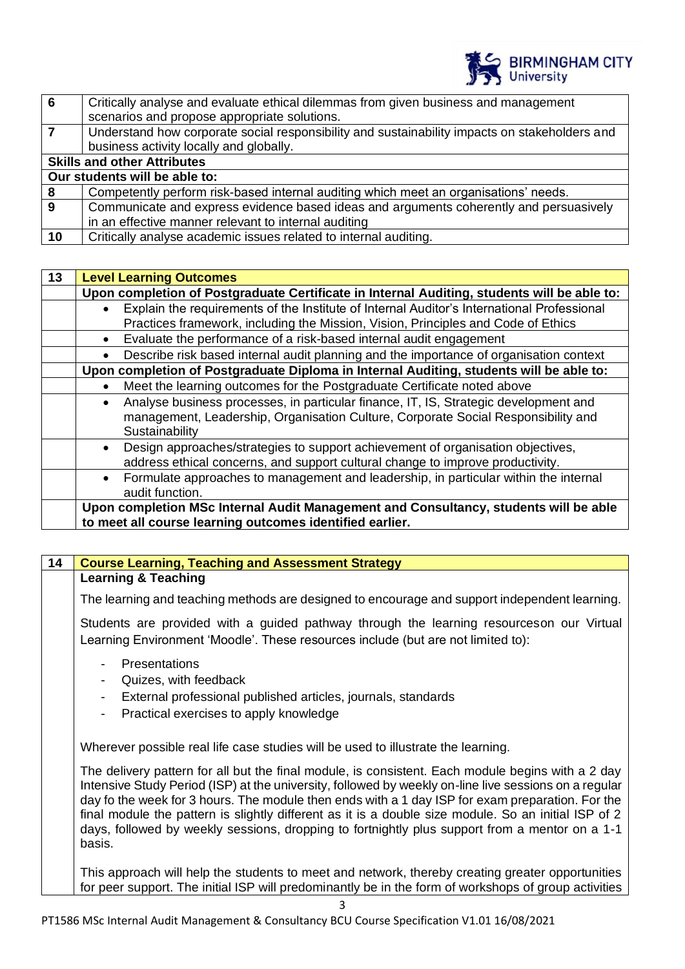

| -6 | Critically analyse and evaluate ethical dilemmas from given business and management           |
|----|-----------------------------------------------------------------------------------------------|
|    | scenarios and propose appropriate solutions.                                                  |
|    | Understand how corporate social responsibility and sustainability impacts on stakeholders and |
|    | business activity locally and globally.                                                       |
|    | <b>Skills and other Attributes</b>                                                            |
|    | Our students will be able to:                                                                 |
| 8  | Competently perform risk-based internal auditing which meet an organisations' needs.          |
| 9  | Communicate and express evidence based ideas and arguments coherently and persuasively        |
|    | in an effective manner relevant to internal auditing                                          |
| 10 | Critically analyse academic issues related to internal auditing.                              |
|    |                                                                                               |

| 13 |           | <b>Level Learning Outcomes</b>                                                              |
|----|-----------|---------------------------------------------------------------------------------------------|
|    |           | Upon completion of Postgraduate Certificate in Internal Auditing, students will be able to: |
|    | $\bullet$ | Explain the requirements of the Institute of Internal Auditor's International Professional  |
|    |           | Practices framework, including the Mission, Vision, Principles and Code of Ethics           |
|    | $\bullet$ | Evaluate the performance of a risk-based internal audit engagement                          |
|    | $\bullet$ | Describe risk based internal audit planning and the importance of organisation context      |
|    |           | Upon completion of Postgraduate Diploma in Internal Auditing, students will be able to:     |
|    | $\bullet$ | Meet the learning outcomes for the Postgraduate Certificate noted above                     |
|    | $\bullet$ | Analyse business processes, in particular finance, IT, IS, Strategic development and        |
|    |           | management, Leadership, Organisation Culture, Corporate Social Responsibility and           |
|    |           | Sustainability                                                                              |
|    | $\bullet$ | Design approaches/strategies to support achievement of organisation objectives,             |
|    |           | address ethical concerns, and support cultural change to improve productivity.              |
|    | $\bullet$ | Formulate approaches to management and leadership, in particular within the internal        |
|    |           | audit function.                                                                             |
|    |           | Upon completion MSc Internal Audit Management and Consultancy, students will be able        |
|    |           | to meet all course learning outcomes identified earlier.                                    |

| 14 | <b>Course Learning, Teaching and Assessment Strategy</b>                                                                                                                                                                                                                                                                                                                                                                                                                                                                           |
|----|------------------------------------------------------------------------------------------------------------------------------------------------------------------------------------------------------------------------------------------------------------------------------------------------------------------------------------------------------------------------------------------------------------------------------------------------------------------------------------------------------------------------------------|
|    | <b>Learning &amp; Teaching</b>                                                                                                                                                                                                                                                                                                                                                                                                                                                                                                     |
|    | The learning and teaching methods are designed to encourage and support independent learning.                                                                                                                                                                                                                                                                                                                                                                                                                                      |
|    | Students are provided with a guided pathway through the learning resourceson our Virtual<br>Learning Environment 'Moodle'. These resources include (but are not limited to):                                                                                                                                                                                                                                                                                                                                                       |
|    | Presentations<br>Quizes, with feedback<br>External professional published articles, journals, standards<br>$\overline{\phantom{0}}$<br>Practical exercises to apply knowledge<br>$\overline{\phantom{0}}$                                                                                                                                                                                                                                                                                                                          |
|    | Wherever possible real life case studies will be used to illustrate the learning.                                                                                                                                                                                                                                                                                                                                                                                                                                                  |
|    | The delivery pattern for all but the final module, is consistent. Each module begins with a 2 day<br>Intensive Study Period (ISP) at the university, followed by weekly on-line live sessions on a regular<br>day fo the week for 3 hours. The module then ends with a 1 day ISP for exam preparation. For the<br>final module the pattern is slightly different as it is a double size module. So an initial ISP of 2<br>days, followed by weekly sessions, dropping to fortnightly plus support from a mentor on a 1-1<br>basis. |
|    | This approach will help the students to meet and network, thereby creating greater opportunities<br>for peer support. The initial ISP will predominantly be in the form of workshops of group activities                                                                                                                                                                                                                                                                                                                           |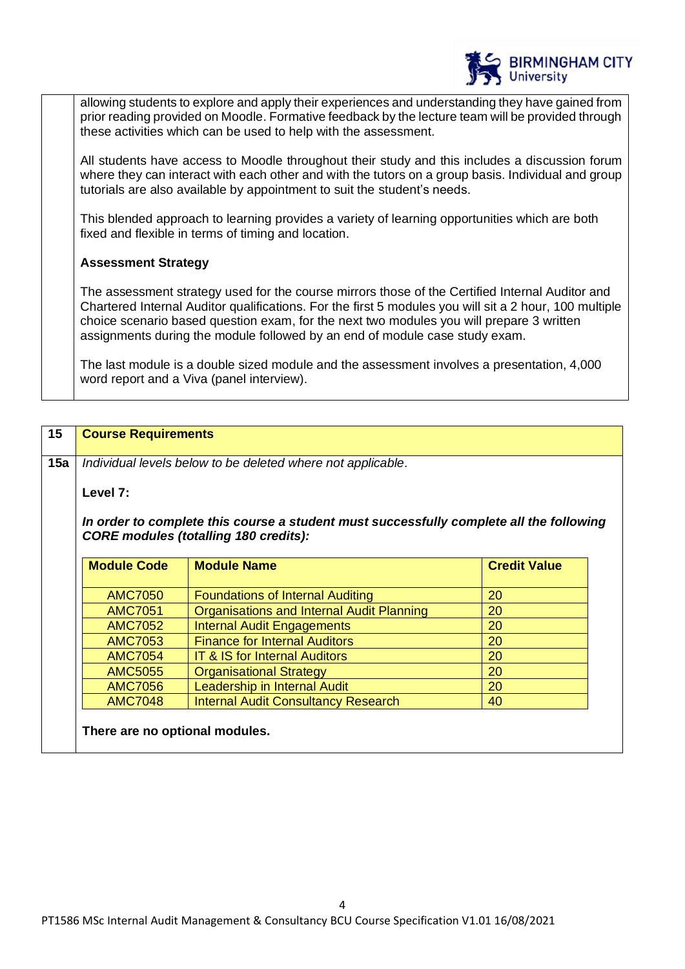

allowing students to explore and apply their experiences and understanding they have gained from prior reading provided on Moodle. Formative feedback by the lecture team will be provided through these activities which can be used to help with the assessment.

All students have access to Moodle throughout their study and this includes a discussion forum where they can interact with each other and with the tutors on a group basis. Individual and group tutorials are also available by appointment to suit the student's needs.

This blended approach to learning provides a variety of learning opportunities which are both fixed and flexible in terms of timing and location.

# **Assessment Strategy**

The assessment strategy used for the course mirrors those of the Certified Internal Auditor and Chartered Internal Auditor qualifications. For the first 5 modules you will sit a 2 hour, 100 multiple choice scenario based question exam, for the next two modules you will prepare 3 written assignments during the module followed by an end of module case study exam.

The last module is a double sized module and the assessment involves a presentation, 4,000 word report and a Viva (panel interview).

| 15  | <b>Course Requirements</b>                                  |                                                                                                                                         |                     |
|-----|-------------------------------------------------------------|-----------------------------------------------------------------------------------------------------------------------------------------|---------------------|
| 15a | Individual levels below to be deleted where not applicable. |                                                                                                                                         |                     |
|     | Level 7:                                                    |                                                                                                                                         |                     |
|     |                                                             | In order to complete this course a student must successfully complete all the following<br><b>CORE modules (totalling 180 credits):</b> |                     |
|     | <b>Module Code</b>                                          | <b>Module Name</b>                                                                                                                      | <b>Credit Value</b> |
|     | <b>AMC7050</b>                                              | <b>Foundations of Internal Auditing</b>                                                                                                 | 20                  |
|     | <b>AMC7051</b>                                              | Organisations and Internal Audit Planning                                                                                               | 20                  |
|     | <b>AMC7052</b>                                              | <b>Internal Audit Engagements</b>                                                                                                       | 20                  |
|     | <b>AMC7053</b>                                              | <b>Finance for Internal Auditors</b>                                                                                                    | 20                  |
|     | <b>AMC7054</b>                                              | <b>IT &amp; IS for Internal Auditors</b>                                                                                                | 20                  |
|     | <b>AMC5055</b>                                              | <b>Organisational Strategy</b>                                                                                                          | 20                  |
|     | <b>AMC7056</b>                                              | Leadership in Internal Audit                                                                                                            | 20                  |
|     | <b>AMC7048</b>                                              | <b>Internal Audit Consultancy Research</b>                                                                                              | 40                  |
|     | There are no optional modules.                              |                                                                                                                                         |                     |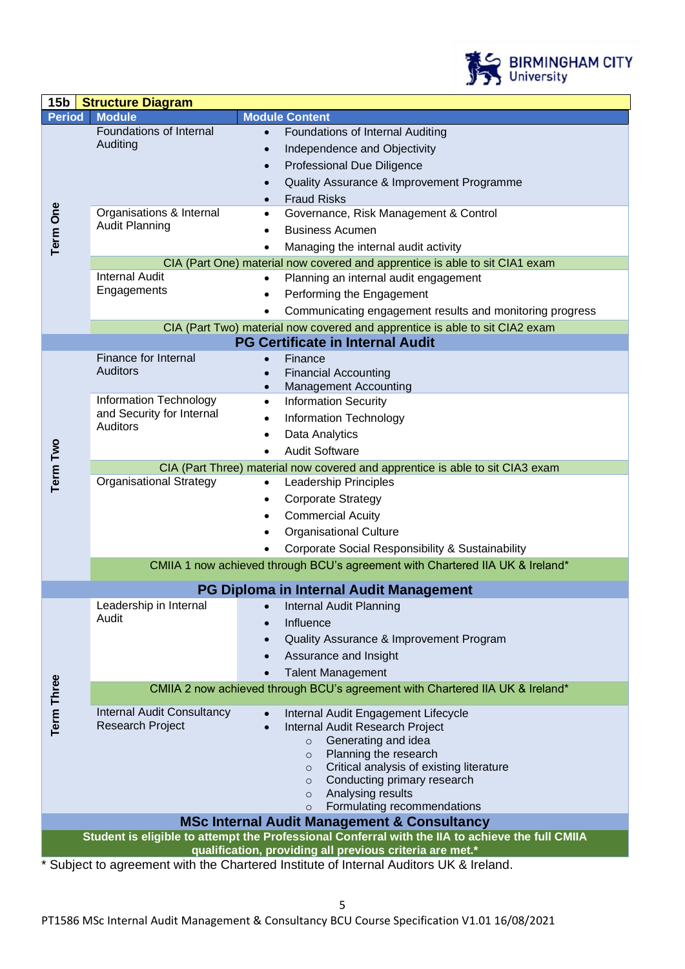

| 15 <sub>b</sub>                                                                                                                                  | <b>Structure Diagram</b>                                                      |                                                                                               |  |  |
|--------------------------------------------------------------------------------------------------------------------------------------------------|-------------------------------------------------------------------------------|-----------------------------------------------------------------------------------------------|--|--|
| <b>Period</b>                                                                                                                                    | <b>Module</b>                                                                 | <b>Module Content</b>                                                                         |  |  |
|                                                                                                                                                  | Foundations of Internal                                                       | Foundations of Internal Auditing<br>$\bullet$                                                 |  |  |
| <b>Term One</b>                                                                                                                                  | Auditing                                                                      | Independence and Objectivity<br>$\bullet$                                                     |  |  |
|                                                                                                                                                  |                                                                               | <b>Professional Due Diligence</b>                                                             |  |  |
|                                                                                                                                                  |                                                                               | Quality Assurance & Improvement Programme                                                     |  |  |
|                                                                                                                                                  |                                                                               | <b>Fraud Risks</b>                                                                            |  |  |
|                                                                                                                                                  | Organisations & Internal                                                      | Governance, Risk Management & Control                                                         |  |  |
|                                                                                                                                                  | <b>Audit Planning</b>                                                         | <b>Business Acumen</b>                                                                        |  |  |
|                                                                                                                                                  |                                                                               | Managing the internal audit activity                                                          |  |  |
|                                                                                                                                                  | CIA (Part One) material now covered and apprentice is able to sit CIA1 exam   |                                                                                               |  |  |
|                                                                                                                                                  | <b>Internal Audit</b>                                                         | Planning an internal audit engagement<br>$\bullet$                                            |  |  |
|                                                                                                                                                  | Engagements                                                                   | Performing the Engagement                                                                     |  |  |
|                                                                                                                                                  |                                                                               | Communicating engagement results and monitoring progress                                      |  |  |
|                                                                                                                                                  |                                                                               | CIA (Part Two) material now covered and apprentice is able to sit CIA2 exam                   |  |  |
|                                                                                                                                                  |                                                                               | <b>PG Certificate in Internal Audit</b>                                                       |  |  |
|                                                                                                                                                  | Finance for Internal                                                          | Finance                                                                                       |  |  |
|                                                                                                                                                  | <b>Auditors</b>                                                               | <b>Financial Accounting</b><br>$\bullet$                                                      |  |  |
|                                                                                                                                                  |                                                                               | <b>Management Accounting</b><br>$\bullet$                                                     |  |  |
|                                                                                                                                                  | Information Technology                                                        | <b>Information Security</b><br>$\bullet$                                                      |  |  |
|                                                                                                                                                  | and Security for Internal                                                     | <b>Information Technology</b>                                                                 |  |  |
|                                                                                                                                                  | <b>Auditors</b>                                                               | Data Analytics                                                                                |  |  |
|                                                                                                                                                  |                                                                               | <b>Audit Software</b><br>$\bullet$                                                            |  |  |
| Term Two                                                                                                                                         | CIA (Part Three) material now covered and apprentice is able to sit CIA3 exam |                                                                                               |  |  |
|                                                                                                                                                  | <b>Organisational Strategy</b>                                                | <b>Leadership Principles</b><br>$\bullet$                                                     |  |  |
|                                                                                                                                                  |                                                                               | <b>Corporate Strategy</b><br>$\bullet$                                                        |  |  |
|                                                                                                                                                  |                                                                               | <b>Commercial Acuity</b>                                                                      |  |  |
|                                                                                                                                                  |                                                                               | <b>Organisational Culture</b>                                                                 |  |  |
|                                                                                                                                                  |                                                                               | Corporate Social Responsibility & Sustainability                                              |  |  |
|                                                                                                                                                  |                                                                               | CMIIA 1 now achieved through BCU's agreement with Chartered IIA UK & Ireland*                 |  |  |
|                                                                                                                                                  |                                                                               |                                                                                               |  |  |
| PG Diploma in Internal Audit Management                                                                                                          |                                                                               |                                                                                               |  |  |
|                                                                                                                                                  | Leadership in Internal                                                        | Internal Audit Planning                                                                       |  |  |
|                                                                                                                                                  | Audit                                                                         | Influence<br>$\bullet$                                                                        |  |  |
|                                                                                                                                                  |                                                                               | Quality Assurance & Improvement Program                                                       |  |  |
|                                                                                                                                                  |                                                                               | Assurance and Insight                                                                         |  |  |
|                                                                                                                                                  |                                                                               | <b>Talent Management</b>                                                                      |  |  |
| <b>Term Three</b>                                                                                                                                | CMIIA 2 now achieved through BCU's agreement with Chartered IIA UK & Ireland* |                                                                                               |  |  |
|                                                                                                                                                  | <b>Internal Audit Consultancy</b>                                             | Internal Audit Engagement Lifecycle<br>$\bullet$                                              |  |  |
|                                                                                                                                                  | <b>Research Project</b>                                                       | Internal Audit Research Project                                                               |  |  |
|                                                                                                                                                  |                                                                               | Generating and idea<br>$\circ$                                                                |  |  |
|                                                                                                                                                  |                                                                               | Planning the research<br>$\circ$                                                              |  |  |
|                                                                                                                                                  |                                                                               | Critical analysis of existing literature<br>$\circ$<br>Conducting primary research<br>$\circ$ |  |  |
|                                                                                                                                                  |                                                                               | Analysing results<br>$\circ$                                                                  |  |  |
|                                                                                                                                                  |                                                                               | Formulating recommendations<br>$\circ$                                                        |  |  |
| <b>MSc Internal Audit Management &amp; Consultancy</b>                                                                                           |                                                                               |                                                                                               |  |  |
| Student is eligible to attempt the Professional Conferral with the IIA to achieve the full CMIIA                                                 |                                                                               |                                                                                               |  |  |
| qualification, providing all previous criteria are met.*<br>Subject to agreement with the Chartered Institute of Internal Auditors UK & Ireland. |                                                                               |                                                                                               |  |  |